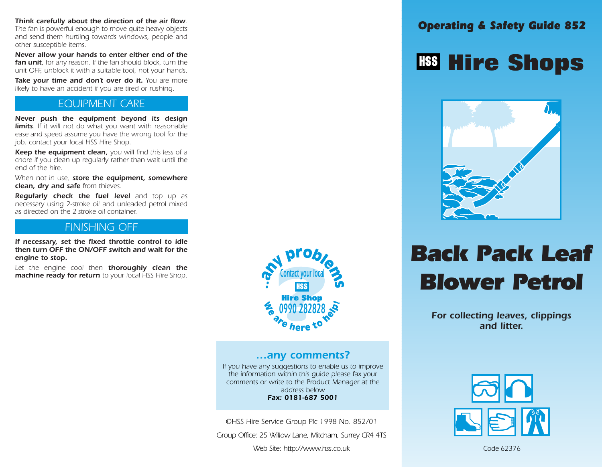Think carefully about the direction of the air flow.<br>The fan is powerful enough to move quite heavy objects The fan is powerful enough to move quite heavy objects and send them hurtling towards windows, people and other susceptible items.

Never allow your hands to enter either end of the fan unit, for any reason. If the fan should block, turn the unit OFF, unblock it with a suitable tool, not your hands.

Take your time and don't over do it. You are more likely to have an accident if you are tired or rushing.

## EQUIPMENT CARE

Never push the equipment beyond its design **limits**. If it will not do what you want with reasonable ease and speed assume you have the wrong tool for the job. contact your local HSS Hire Shop.

Keep the equipment clean, you will find this less of a chore if you clean up regularly rather than wait until the end of the hire.

When not in use, store the equipment, somewhere clean, dry and safe from thieves.

Regularly check the fuel level and top up as necessary using 2-stroke oil and unleaded petrol mixed as directed on the 2-stroke oil container.

## FINISHING OFF

If necessary, set the fixed throttle control to idle then turn OFF the ON/OFF switch and wait for the engine to stop.

Let the engine cool then thoroughly clean the machine ready for return to your local HSS Hire Shop.



## …any comments?

If you have any suggestions to enable us to improve the information within this guide please fax your comments or write to the Product Manager at the address below Fax: 0181-687 5001

©HSS Hire Service Group Plc 1998 No. 852/01

Group Office: 25 Willow Lane, Mitcham, Surrey CR4 4TS

Web Site: http://www.hss.co.uk

## **Hire Shops**



# Back Pack Leaf Blower Petrol

For collecting leaves, clippings and litter.



Code 62376